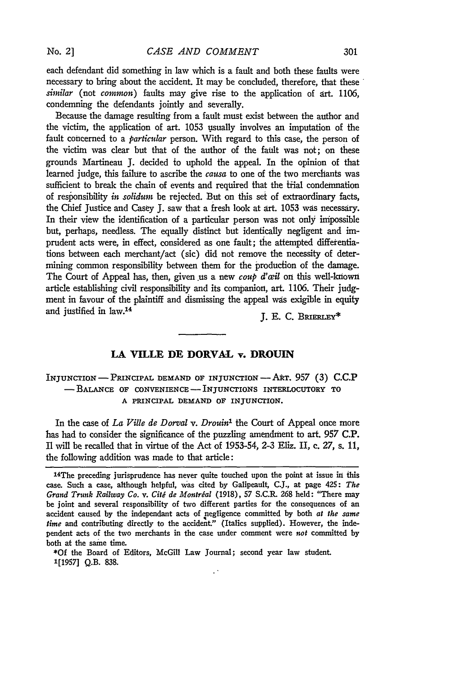each defendant did something in law which is a fault and both these faults were necessary to bring about the accident. It may be concluded, therefore, that these *similar* (not *common)* faults may give rise to the application of art. 1106, condemning the defendants jointly and severally.

Because the damage resulting from a fault must exist between the author and the victim, the application of art. 1053 usually involves an imputation of the fault concerned to a *particular* person. With regard to this case, the person of the victim was clear but that of the author of the fault was not; on these grounds Martineau J. decided to uphold the appeal. In the opinion of that learned judge, this failure to ascribe the *causa* to one of the two merchants was sufficient to break the chain of events and required that the trial condemnation of responsibility *in solidum* be rejected. But on this set of extraordinary facts, the Chief Justice and Casey J. saw that a fresh look at art. 1053 was necessary. In their view the identification of a particular person was not only impossible but, perhaps, needless. The equally distinct but identically negligent and imprudent acts were, in effect, considered as one fault; the attempted differentiations between each merchant/act (sic) did not remove the necessity of determining common responsibility between them for the production of the damage. The Court of Appeal has, then, given us a new *coup d'œil* on this well-known article establishing civil responsibility and its companion, art. 1106. Their judgment in favour of the plaintiff and dismissing the appeal was exigible in equity and justified in law.<sup>14</sup>  $I. E. C. B \text{R} \text{R} \text{R} \text{R}$ 

## **LA VILLE DE DORVAL v. DROUIN**

## INJUNCTION **-** PRINCIPAL DEMAND OF INJUNCTION - **ART.** 957 (3) **C.C.P -BALANCE** OF **CONVENIENCE-** INJUNCTIONS INTERLOCUTORY TO **A** PRINCIPAL **DEMAND** OF **INJUNCTION.**

In the case of *La Ville de Dorval v. Drouin'* the Court of Appeal once more has had to consider the significance of the puzzling amendment to art. 957 **C.P.** Il will be recalled that in virtue of the Act of 1953-54, 2-3 Eliz. II, c. *27,* s. 11, the following addition was made to that article:

**\*Of** the Board of Editors, McGill Law Journal; second year law student 1[1957] Q.B. 838.

<sup>14</sup> The preceding jurisprudence has never quite touched upon the point at issue in this case. Such a case, although helpful, was cited **by** Galipeault, **C.J.,** at page 425: *The Grand Trunk Railway Co. v. Citi de Montrial* (1918), **57 S.C.R.** 268 held: "There may be joint and several responsibility of two different parties for the consequences of an accident caused **by** the independant acts of negligence committed **by** both **at** *the same time* and contributing directly to the accident." (Italics supplied). However, the independent acts of the two merchants in the case under comment were **not** committed **by** both at the same time.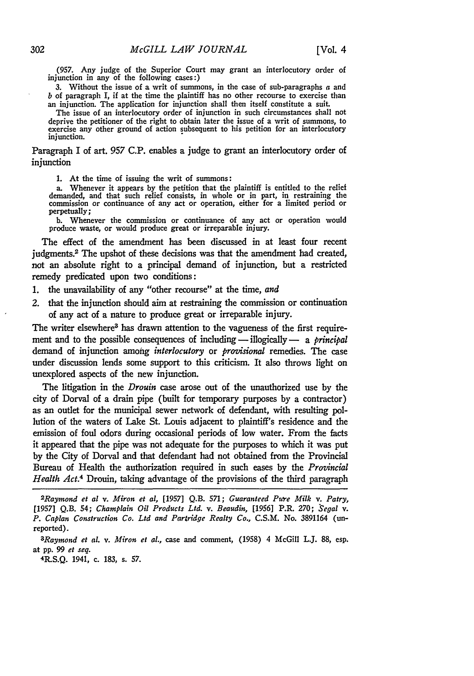**(957.** Any judge of the Superior Court may grant an interlocutory order of injunction in any of the following cases:)

**3.** Without the issue of a writ of summons, in the case of sub-paragraphs a and *b* of paragraph I, if at the time the plaintiff has no other recourse to exercise than an injunction. The application for injunction shall then itself constitute a suit.

The issue of an interlocutory order of injunction in such circumstances shall not deprive the petitioner of the right to obtain later the issue of a writ of summons, to exercise any other ground of action subsequent to his petition for an interlocutory injunction.

Paragraph I of art. *957* **C.P.** enables a judge to grant an interlocutory order of injunction

**1.** At the time of issuing the writ of summons:

a. Whenever it appears **by** the petition that the plaintiff is entitled to the relief demanded, and that such relief consists, in whole or in part, in restraining the commission or continuance of any act or operation, either for a limited period or perpetually;

**b.** Whenever the commission or continuance of any act or operation would produce waste, or would produce great or irreparable injury.

The effect of the amendment has been discussed in at least four recent judgments.2 The upshot of these decisions was that the amendment **had** created, not an absolute right to a principal demand of injunction, but a restricted remedy predicated upon two conditions:

- **1.** the unavailability of any "other recourse" at the time, *and*
- *2.* that the injunction should aim at restraining the commission or continuation of any act of a nature to produce great or irreparable injury.

The writer elsewhere<sup>3</sup> has drawn attention to the vagueness of the first requirement and to the possible consequences of including - illogically - a *principal* demand of injunction among *interlocutory* or *pro'isional* remedies. The case under discussion lends some support to this criticism. It also throws light on unexplored aspects of the new injunction.

The litigation in the *Drouin* case arose out of the unauthorized use **by** the city of Dorval of a drain pipe (built for temporary purposes **by** a contractor) as an outlet for the municipal sewer network of defendant, with resulting **pol**lution of the waters of Lake St. Louis adjacent to plaintiff's residence and the emission of foul odors during occasional periods of low water. From the facts it appeared that the pipe was not adequate for the purposes to which it was put **by** the City of Dorval and that defendant had not obtained from the Provincial Bureau of Health the authorization required in such cases **by** the *Provincial Health Act.4* Drouin, taking advantage of the provisions of the third paragraph

R.S.Q. 1941, c. **183,** s. **57.**

<sup>&</sup>lt;sup>2</sup>Raymond et al v. Miron et al, [1957] Q.B. 571; Guaranteed Pure Milk v. Patry, **[1957] Q.B.** 54; *Champlain Oil Products Ltd. v. Beaudin,* **[1956]** P.R. **270;** *Segal v. P. Caplan Construction Co. Ltd and Partridge Realty Co.,* **C.S.M.** No. **3891164** (unreported).

*<sup>3</sup>Raymond et al. v. Miron et al.,* case and comment, **(1958)** 4 McGill L.J. **88,** esp. at **pp. 99** *et seq.* <sup>4</sup>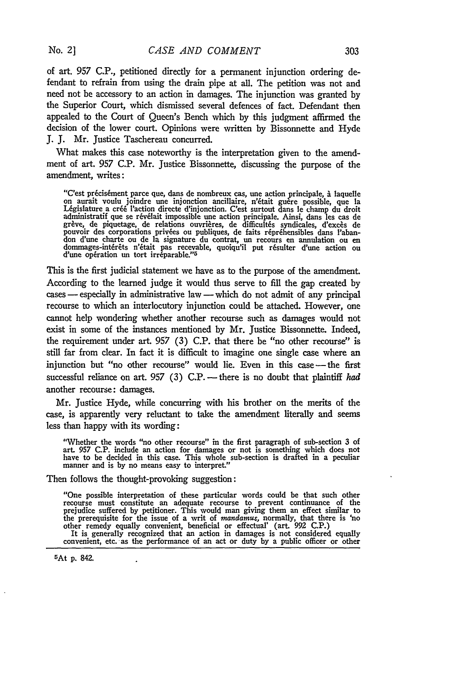**No. 2 ]**

of **art.** 957 C.P., petitioned directly for a permanent injunction ordering defendant to refrain from using the drain pipe at all. The petition was not and need not be accessory to an action in damages. The injunction was granted **by** the Superior Court, which dismissed several defences of fact. Defendant then appealed to the Court of Queen's Bench which **by** this judgment affirmed the decision of the lower court. Opinions were written **by** Bissonnette and Hyde **J. J.** Mr. Justice Taschereau concurred.

What makes this case noteworthy is the interpretation given to the amendment of art. **957 C.P.** Mr. Justice Bissonnette, discussing the purpose of the amendment, writes:

"C'est précisément parce que, dans de nombreux cas, une action principale, à laquelle<br>on aurait voulu joindre une injonction ancillaire, n'était guère possible, que la<br>Législature a créé l'action directe d'injonction. C'es administratif que se révélait impossible une action principale. Ainsi, dans les cas de grève, de piquetage, de relations ouvrières, de difficultés syndicales, d'excès de pouvoir des corporations privées ou publiques, de fa

This is the first judicial statement we have as to the purpose of the amendment. According to the learned judge **it** would thus serve to **fill** the gap created **by** cases - especially in administrative law - which do not admit of any principal recourse to which an interlocutory injunction could be attached. However, one cannot help wondering whether another recourse such as damages would not exist in some of the instances mentioned **by** Mr. Justice Bissonnette. Indeed, the requirement under art. **957 (3) C.P.** that there **be** "no other recourse" is still far from clear. In fact it is difficult to imagine one single case where an injunction but "no other recourse" would lie. Even in this case -- the first successful reliance on art. 957 (3) C.P. -- there is no doubt that plaintiff *had* another recourse: damages.

Mr. Justice Hyde, while concurring with his brother on the merits of the case, is apparently very reluctant to take the amendment literally and seems less than happy with its wording:

"Whether the words "no other recourse" in the first paragraph of sub-section 3 of art. 957 C.P. include an action for damages or not is something which does not have to be decided in this case. This whole sub-section is drafted in a peculiar manner and is by no means easy to interpret."

Then follows the thought-provoking suggestion:

"One possible interpretation of these particular words could be that such other recourse must constitute an adequate recourse to prevent continuance of the prejudice suffered **by** petitioner. This would man giving them an effect similar to the prerequisite for the issue of a writ of *mandamus*, normally, that there is 'no other remedy equally convenient, beneficial or effectual' (art. 992 C.P.)<br>It is generally recognized that an action in damages is not considered equally<br>convenient, etc. as the performance of an act or duty by a public off

5At **p.** 842.